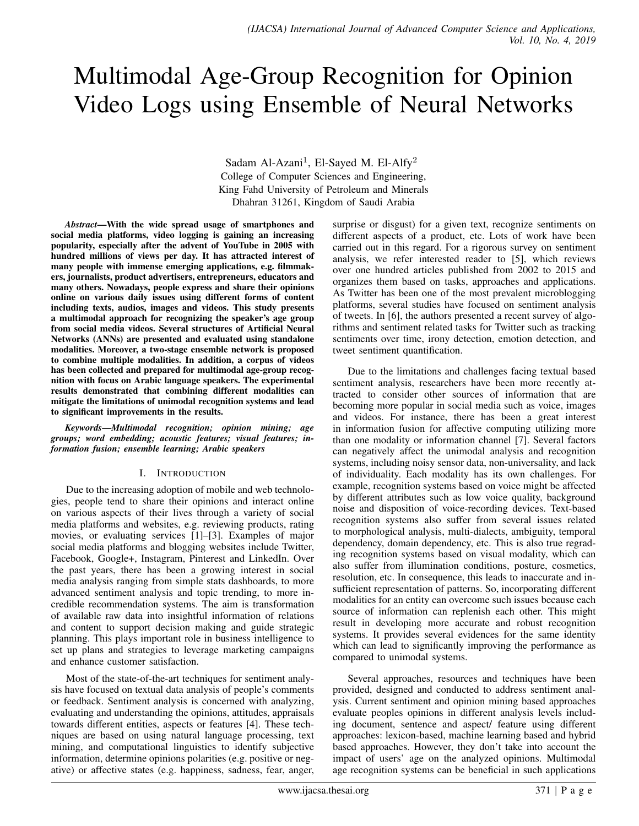# Multimodal Age-Group Recognition for Opinion Video Logs using Ensemble of Neural Networks

Sadam Al-Azani<sup>1</sup>, El-Sayed M. El-Alfy<sup>2</sup> College of Computer Sciences and Engineering, King Fahd University of Petroleum and Minerals Dhahran 31261, Kingdom of Saudi Arabia

*Abstract*—With the wide spread usage of smartphones and social media platforms, video logging is gaining an increasing popularity, especially after the advent of YouTube in 2005 with hundred millions of views per day. It has attracted interest of many people with immense emerging applications, e.g. filmmakers, journalists, product advertisers, entrepreneurs, educators and many others. Nowadays, people express and share their opinions online on various daily issues using different forms of content including texts, audios, images and videos. This study presents a multimodal approach for recognizing the speaker's age group from social media videos. Several structures of Artificial Neural Networks (ANNs) are presented and evaluated using standalone modalities. Moreover, a two-stage ensemble network is proposed to combine multiple modalities. In addition, a corpus of videos has been collected and prepared for multimodal age-group recognition with focus on Arabic language speakers. The experimental results demonstrated that combining different modalities can mitigate the limitations of unimodal recognition systems and lead to significant improvements in the results.

*Keywords*—*Multimodal recognition; opinion mining; age groups; word embedding; acoustic features; visual features; information fusion; ensemble learning; Arabic speakers*

## I. INTRODUCTION

Due to the increasing adoption of mobile and web technologies, people tend to share their opinions and interact online on various aspects of their lives through a variety of social media platforms and websites, e.g. reviewing products, rating movies, or evaluating services [1]–[3]. Examples of major social media platforms and blogging websites include Twitter, Facebook, Google+, Instagram, Pinterest and LinkedIn. Over the past years, there has been a growing interest in social media analysis ranging from simple stats dashboards, to more advanced sentiment analysis and topic trending, to more incredible recommendation systems. The aim is transformation of available raw data into insightful information of relations and content to support decision making and guide strategic planning. This plays important role in business intelligence to set up plans and strategies to leverage marketing campaigns and enhance customer satisfaction.

Most of the state-of-the-art techniques for sentiment analysis have focused on textual data analysis of people's comments or feedback. Sentiment analysis is concerned with analyzing, evaluating and understanding the opinions, attitudes, appraisals towards different entities, aspects or features [4]. These techniques are based on using natural language processing, text mining, and computational linguistics to identify subjective information, determine opinions polarities (e.g. positive or negative) or affective states (e.g. happiness, sadness, fear, anger, surprise or disgust) for a given text, recognize sentiments on different aspects of a product, etc. Lots of work have been carried out in this regard. For a rigorous survey on sentiment analysis, we refer interested reader to [5], which reviews over one hundred articles published from 2002 to 2015 and organizes them based on tasks, approaches and applications. As Twitter has been one of the most prevalent microblogging platforms, several studies have focused on sentiment analysis of tweets. In [6], the authors presented a recent survey of algorithms and sentiment related tasks for Twitter such as tracking sentiments over time, irony detection, emotion detection, and tweet sentiment quantification.

Due to the limitations and challenges facing textual based sentiment analysis, researchers have been more recently attracted to consider other sources of information that are becoming more popular in social media such as voice, images and videos. For instance, there has been a great interest in information fusion for affective computing utilizing more than one modality or information channel [7]. Several factors can negatively affect the unimodal analysis and recognition systems, including noisy sensor data, non-universality, and lack of individuality. Each modality has its own challenges. For example, recognition systems based on voice might be affected by different attributes such as low voice quality, background noise and disposition of voice-recording devices. Text-based recognition systems also suffer from several issues related to morphological analysis, multi-dialects, ambiguity, temporal dependency, domain dependency, etc. This is also true regrading recognition systems based on visual modality, which can also suffer from illumination conditions, posture, cosmetics, resolution, etc. In consequence, this leads to inaccurate and insufficient representation of patterns. So, incorporating different modalities for an entity can overcome such issues because each source of information can replenish each other. This might result in developing more accurate and robust recognition systems. It provides several evidences for the same identity which can lead to significantly improving the performance as compared to unimodal systems.

Several approaches, resources and techniques have been provided, designed and conducted to address sentiment analysis. Current sentiment and opinion mining based approaches evaluate peoples opinions in different analysis levels including document, sentence and aspect/ feature using different approaches: lexicon-based, machine learning based and hybrid based approaches. However, they don't take into account the impact of users' age on the analyzed opinions. Multimodal age recognition systems can be beneficial in such applications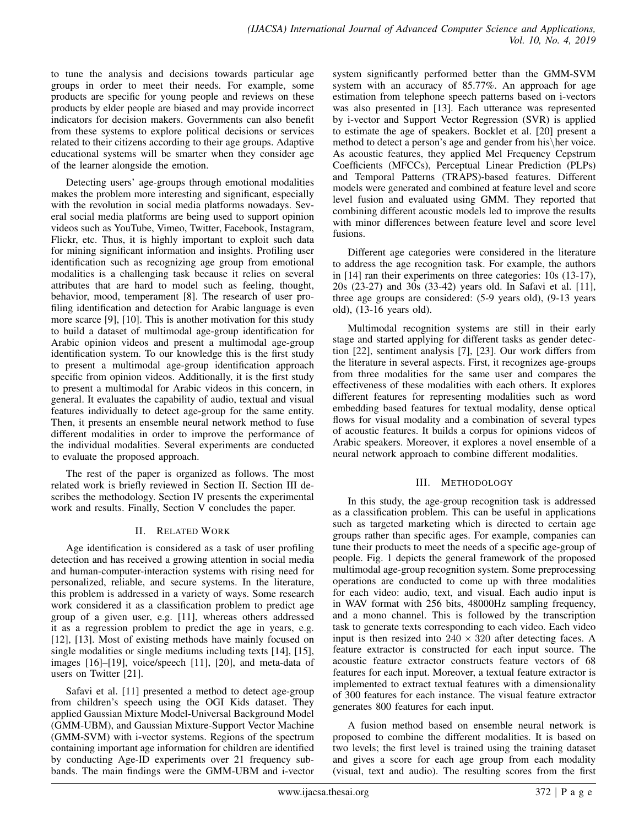to tune the analysis and decisions towards particular age groups in order to meet their needs. For example, some products are specific for young people and reviews on these products by elder people are biased and may provide incorrect indicators for decision makers. Governments can also benefit from these systems to explore political decisions or services related to their citizens according to their age groups. Adaptive educational systems will be smarter when they consider age of the learner alongside the emotion.

Detecting users' age-groups through emotional modalities makes the problem more interesting and significant, especially with the revolution in social media platforms nowadays. Several social media platforms are being used to support opinion videos such as YouTube, Vimeo, Twitter, Facebook, Instagram, Flickr, etc. Thus, it is highly important to exploit such data for mining significant information and insights. Profiling user identification such as recognizing age group from emotional modalities is a challenging task because it relies on several attributes that are hard to model such as feeling, thought, behavior, mood, temperament [8]. The research of user profiling identification and detection for Arabic language is even more scarce [9], [10]. This is another motivation for this study to build a dataset of multimodal age-group identification for Arabic opinion videos and present a multimodal age-group identification system. To our knowledge this is the first study to present a multimodal age-group identification approach specific from opinion videos. Additionally, it is the first study to present a multimodal for Arabic videos in this concern, in general. It evaluates the capability of audio, textual and visual features individually to detect age-group for the same entity. Then, it presents an ensemble neural network method to fuse different modalities in order to improve the performance of the individual modalities. Several experiments are conducted to evaluate the proposed approach.

The rest of the paper is organized as follows. The most related work is briefly reviewed in Section II. Section III describes the methodology. Section IV presents the experimental work and results. Finally, Section V concludes the paper.

# II. RELATED WORK

Age identification is considered as a task of user profiling detection and has received a growing attention in social media and human-computer-interaction systems with rising need for personalized, reliable, and secure systems. In the literature, this problem is addressed in a variety of ways. Some research work considered it as a classification problem to predict age group of a given user, e.g. [11], whereas others addressed it as a regression problem to predict the age in years, e.g. [12], [13]. Most of existing methods have mainly focused on single modalities or single mediums including texts [14], [15], images [16]–[19], voice/speech [11], [20], and meta-data of users on Twitter [21].

Safavi et al. [11] presented a method to detect age-group from children's speech using the OGI Kids dataset. They applied Gaussian Mixture Model-Universal Background Model (GMM-UBM), and Gaussian Mixture-Support Vector Machine (GMM-SVM) with i-vector systems. Regions of the spectrum containing important age information for children are identified by conducting Age-ID experiments over 21 frequency subbands. The main findings were the GMM-UBM and i-vector

system significantly performed better than the GMM-SVM system with an accuracy of 85.77%. An approach for age estimation from telephone speech patterns based on i-vectors was also presented in [13]. Each utterance was represented by i-vector and Support Vector Regression (SVR) is applied to estimate the age of speakers. Bocklet et al. [20] present a method to detect a person's age and gender from his\her voice. As acoustic features, they applied Mel Frequency Cepstrum Coefficients (MFCCs), Perceptual Linear Prediction (PLPs) and Temporal Patterns (TRAPS)-based features. Different models were generated and combined at feature level and score level fusion and evaluated using GMM. They reported that combining different acoustic models led to improve the results with minor differences between feature level and score level fusions.

Different age categories were considered in the literature to address the age recognition task. For example, the authors in [14] ran their experiments on three categories: 10s (13-17), 20s (23-27) and 30s (33-42) years old. In Safavi et al. [11], three age groups are considered: (5-9 years old), (9-13 years old), (13-16 years old).

Multimodal recognition systems are still in their early stage and started applying for different tasks as gender detection [22], sentiment analysis [7], [23]. Our work differs from the literature in several aspects. First, it recognizes age-groups from three modalities for the same user and compares the effectiveness of these modalities with each others. It explores different features for representing modalities such as word embedding based features for textual modality, dense optical flows for visual modality and a combination of several types of acoustic features. It builds a corpus for opinions videos of Arabic speakers. Moreover, it explores a novel ensemble of a neural network approach to combine different modalities.

# III. METHODOLOGY

In this study, the age-group recognition task is addressed as a classification problem. This can be useful in applications such as targeted marketing which is directed to certain age groups rather than specific ages. For example, companies can tune their products to meet the needs of a specific age-group of people. Fig. 1 depicts the general framework of the proposed multimodal age-group recognition system. Some preprocessing operations are conducted to come up with three modalities for each video: audio, text, and visual. Each audio input is in WAV format with 256 bits, 48000Hz sampling frequency, and a mono channel. This is followed by the transcription task to generate texts corresponding to each video. Each video input is then resized into  $240 \times 320$  after detecting faces. A feature extractor is constructed for each input source. The acoustic feature extractor constructs feature vectors of 68 features for each input. Moreover, a textual feature extractor is implemented to extract textual features with a dimensionality of 300 features for each instance. The visual feature extractor generates 800 features for each input.

A fusion method based on ensemble neural network is proposed to combine the different modalities. It is based on two levels; the first level is trained using the training dataset and gives a score for each age group from each modality (visual, text and audio). The resulting scores from the first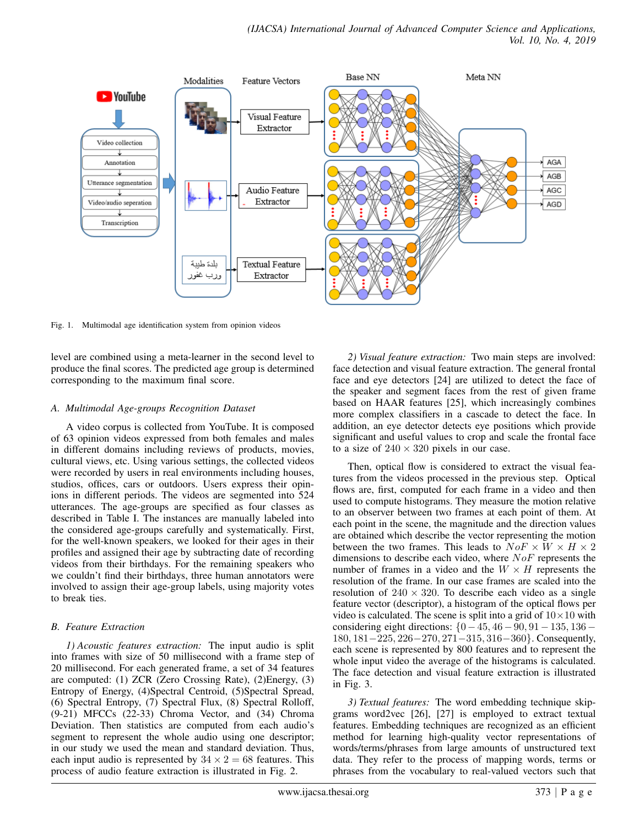

Fig. 1. Multimodal age identification system from opinion videos

level are combined using a meta-learner in the second level to produce the final scores. The predicted age group is determined corresponding to the maximum final score.

## *A. Multimodal Age-groups Recognition Dataset*

A video corpus is collected from YouTube. It is composed of 63 opinion videos expressed from both females and males in different domains including reviews of products, movies, cultural views, etc. Using various settings, the collected videos were recorded by users in real environments including houses, studios, offices, cars or outdoors. Users express their opinions in different periods. The videos are segmented into 524 utterances. The age-groups are specified as four classes as described in Table I. The instances are manually labeled into the considered age-groups carefully and systematically. First, for the well-known speakers, we looked for their ages in their profiles and assigned their age by subtracting date of recording videos from their birthdays. For the remaining speakers who we couldn't find their birthdays, three human annotators were involved to assign their age-group labels, using majority votes to break ties.

# *B. Feature Extraction*

*1) Acoustic features extraction:* The input audio is split into frames with size of 50 millisecond with a frame step of 20 millisecond. For each generated frame, a set of 34 features are computed: (1) ZCR (Zero Crossing Rate), (2)Energy, (3) Entropy of Energy, (4)Spectral Centroid, (5)Spectral Spread, (6) Spectral Entropy, (7) Spectral Flux, (8) Spectral Rolloff, (9-21) MFCCs (22-33) Chroma Vector, and (34) Chroma Deviation. Then statistics are computed from each audio's segment to represent the whole audio using one descriptor; in our study we used the mean and standard deviation. Thus, each input audio is represented by  $34 \times 2 = 68$  features. This process of audio feature extraction is illustrated in Fig. 2.

*2) Visual feature extraction:* Two main steps are involved: face detection and visual feature extraction. The general frontal face and eye detectors [24] are utilized to detect the face of the speaker and segment faces from the rest of given frame based on HAAR features [25], which increasingly combines more complex classifiers in a cascade to detect the face. In addition, an eye detector detects eye positions which provide significant and useful values to crop and scale the frontal face to a size of  $240 \times 320$  pixels in our case.

Then, optical flow is considered to extract the visual features from the videos processed in the previous step. Optical flows are, first, computed for each frame in a video and then used to compute histograms. They measure the motion relative to an observer between two frames at each point of them. At each point in the scene, the magnitude and the direction values are obtained which describe the vector representing the motion between the two frames. This leads to  $N \circ F \times W \times H \times 2$ dimensions to describe each video, where  $NoF$  represents the number of frames in a video and the  $W \times H$  represents the resolution of the frame. In our case frames are scaled into the resolution of  $240 \times 320$ . To describe each video as a single feature vector (descriptor), a histogram of the optical flows per video is calculated. The scene is split into a grid of  $10 \times 10$  with considering eight directions:  ${0-45, 46-90, 91-135, 136-}$ 180, 181−225, 226−270, 271−315, 316−360}. Consequently, each scene is represented by 800 features and to represent the whole input video the average of the histograms is calculated. The face detection and visual feature extraction is illustrated in Fig. 3.

*3) Textual features:* The word embedding technique skipgrams word2vec [26], [27] is employed to extract textual features. Embedding techniques are recognized as an efficient method for learning high-quality vector representations of words/terms/phrases from large amounts of unstructured text data. They refer to the process of mapping words, terms or phrases from the vocabulary to real-valued vectors such that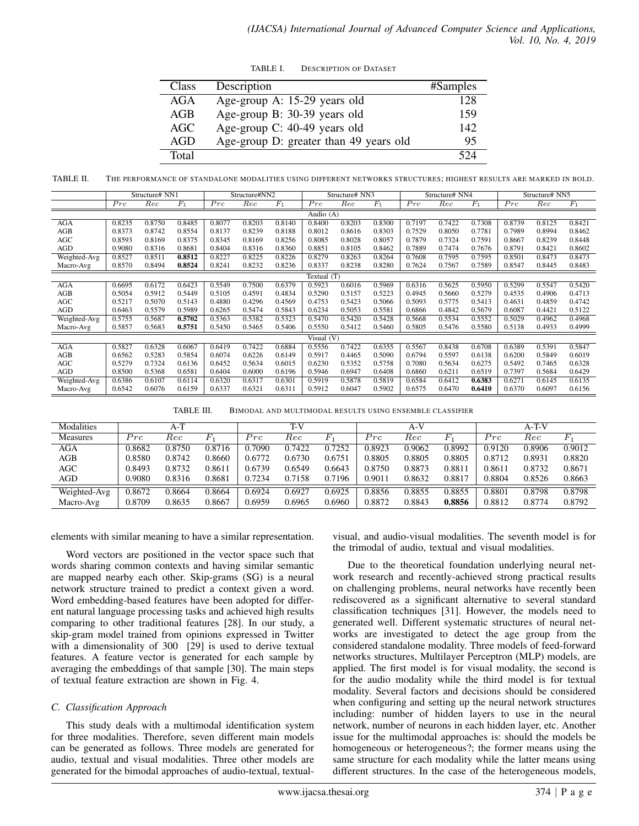| TABLE I. | <b>DESCRIPTION OF DATASET</b> |  |
|----------|-------------------------------|--|
|          |                               |  |

| <b>Class</b> | Description                            | #Samples |
|--------------|----------------------------------------|----------|
| AGA          | Age-group A: 15-29 years old           | 128      |
| AGB          | Age-group B: 30-39 years old           | 159      |
| AGC          | Age-group C: 40-49 years old           | 142      |
| AGD          | Age-group D: greater than 49 years old | 95       |
| Total        |                                        | 524      |

TABLE II. THE PERFORMANCE OF STANDALONE MODALITIES USING DIFFERENT NETWORKS STRUCTURES; HIGHEST RESULTS ARE MARKED IN BOLD.

|              | Structure# NN1 |        | Structure#NN2 |        |        | Structure# NN3 |               |        | Structure# NN4 |        |        | Structure# NN5 |        |        |        |
|--------------|----------------|--------|---------------|--------|--------|----------------|---------------|--------|----------------|--------|--------|----------------|--------|--------|--------|
|              | Prc            | Rec    | $F_1$         | Prc    | Rec    | $F_1$          | Prc           | Rec    | $F_1$          | Prc    | Rec    | $F_1$          | Prc    | Rec    | $F_1$  |
| Audio $(A)$  |                |        |               |        |        |                |               |        |                |        |        |                |        |        |        |
| <b>AGA</b>   | 0.8235         | 0.8750 | 0.8485        | 0.8077 | 0.8203 | 0.8140         | 0.8400        | 0.8203 | 0.8300         | 0.7197 | 0.7422 | 0.7308         | 0.8739 | 0.8125 | 0.8421 |
| AGB          | 0.8373         | 0.8742 | 0.8554        | 0.8137 | 0.8239 | 0.8188         | 0.8012        | 0.8616 | 0.8303         | 0.7529 | 0.8050 | 0.7781         | 0.7989 | 0.8994 | 0.8462 |
| AGC          | 0.8593         | 0.8169 | 0.8375        | 0.8345 | 0.8169 | 0.8256         | 0.8085        | 0.8028 | 0.8057         | 0.7879 | 0.7324 | 0.7591         | 0.8667 | 0.8239 | 0.8448 |
| AGD          | 0.9080         | 0.8316 | 0.8681        | 0.8404 | 0.8316 | 0.8360         | 0.8851        | 0.8105 | 0.8462         | 0.7889 | 0.7474 | 0.7676         | 0.8791 | 0.8421 | 0.8602 |
| Weighted-Avg | 0.8527         | 0.8511 | 0.8512        | 0.8227 | 0.8225 | 0.8226         | 0.8279        | 0.8263 | 0.8264         | 0.7608 | 0.7595 | 0.7595         | 0.8501 | 0.8473 | 0.8473 |
| Macro-Avg    | 0.8570         | 0.8494 | 0.8524        | 0.8241 | 0.8232 | 0.8236         | 0.8337        | 0.8238 | 0.8280         | 0.7624 | 0.7567 | 0.7589         | 0.8547 | 0.8445 | 0.8483 |
|              |                |        |               |        |        |                | Textual $(T)$ |        |                |        |        |                |        |        |        |
| <b>AGA</b>   | 0.6695         | 0.6172 | 0.6423        | 0.5549 | 0.7500 | 0.6379         | 0.5923        | 0.6016 | 0.5969         | 0.6316 | 0.5625 | 0.5950         | 0.5299 | 0.5547 | 0.5420 |
| AGB          | 0.5054         | 0.5912 | 0.5449        | 0.5105 | 0.4591 | 0.4834         | 0.5290        | 0.5157 | 0.5223         | 0.4945 | 0.5660 | 0.5279         | 0.4535 | 0.4906 | 0.4713 |
| <b>AGC</b>   | 0.5217         | 0.5070 | 0.5143        | 0.4880 | 0.4296 | 0.4569         | 0.4753        | 0.5423 | 0.5066         | 0.5093 | 0.5775 | 0.5413         | 0.4631 | 0.4859 | 0.4742 |
| AGD          | 0.6463         | 0.5579 | 0.5989        | 0.6265 | 0.5474 | 0.5843         | 0.6234        | 0.5053 | 0.5581         | 0.6866 | 0.4842 | 0.5679         | 0.6087 | 0.4421 | 0.5122 |
| Weighted-Avg | 0.5755         | 0.5687 | 0.5702        | 0.5363 | 0.5382 | 0.5323         | 0.5470        | 0.5420 | 0.5428         | 0.5668 | 0.5534 | 0.5552         | 0.5029 | 0.4962 | 0.4968 |
| Macro-Avg    | 0.5857         | 0.5683 | 0.5751        | 0.5450 | 0.5465 | 0.5406         | 0.5550        | 0.5412 | 0.5460         | 0.5805 | 0.5476 | 0.5580         | 0.5138 | 0.4933 | 0.4999 |
| Visual (V)   |                |        |               |        |        |                |               |        |                |        |        |                |        |        |        |
| <b>AGA</b>   | 0.5827         | 0.6328 | 0.6067        | 0.6419 | 0.7422 | 0.6884         | 0.5556        | 0.7422 | 0.6355         | 0.5567 | 0.8438 | 0.6708         | 0.6389 | 0.5391 | 0.5847 |
| AGB          | 0.6562         | 0.5283 | 0.5854        | 0.6074 | 0.6226 | 0.6149         | 0.5917        | 0.4465 | 0.5090         | 0.6794 | 0.5597 | 0.6138         | 0.6200 | 0.5849 | 0.6019 |
| <b>AGC</b>   | 0.5279         | 0.7324 | 0.6136        | 0.6452 | 0.5634 | 0.6015         | 0.6230        | 0.5352 | 0.5758         | 0.7080 | 0.5634 | 0.6275         | 0.5492 | 0.7465 | 0.6328 |
| <b>AGD</b>   | 0.8500         | 0.5368 | 0.6581        | 0.6404 | 0.6000 | 0.6196         | 0.5946        | 0.6947 | 0.6408         | 0.6860 | 0.6211 | 0.6519         | 0.7397 | 0.5684 | 0.6429 |
| Weighted-Avg | 0.6386         | 0.6107 | 0.6114        | 0.6320 | 0.6317 | 0.6301         | 0.5919        | 0.5878 | 0.5819         | 0.6584 | 0.6412 | 0.6383         | 0.6271 | 0.6145 | 0.6135 |
| Macro-Avg    | 0.6542         | 0.6076 | 0.6159        | 0.6337 | 0.6321 | 0.6311         | 0.5912        | 0.6047 | 0.5902         | 0.6575 | 0.6470 | 0.6410         | 0.6370 | 0.6097 | 0.6156 |
|              |                |        |               |        |        |                |               |        |                |        |        |                |        |        |        |

TABLE III. BIMODAL AND MULTIMODAL RESULTS USING ENSEMBLE CLASSIFIER

| Modalities      |                | $A-T$    |        |        | T-V    |        |        | A-V      |        |                | A-T-V    |        |
|-----------------|----------------|----------|--------|--------|--------|--------|--------|----------|--------|----------------|----------|--------|
| <b>Measures</b> | $\mathbb{P}rc$ | $_{Rec}$ |        | Prc    | Rec    |        | Prc    | $_{Rec}$ |        | $\mathbb{P}rc$ | $_{Rec}$ |        |
| AGA             | 0.8682         | 0.8750   | 0.8716 | 0.7090 | 0.7422 | 0.7252 | 0.8923 | 0.9062   | 0.8992 | 0.9120         | 0.8906   | 0.9012 |
| AGB             | 0.8580         | 0.8742   | 0.8660 | 0.6772 | 0.6730 | 0.6751 | 0.8805 | 0.8805   | 0.8805 | 0.8712         | 0.8931   | 0.8820 |
| AGC             | 0.8493         | 0.8732   | 0.8611 | 0.6739 | 0.6549 | 0.6643 | 0.8750 | 0.8873   | 0.8811 | 0.8611         | 0.8732   | 0.8671 |
| AGD             | 0.9080         | 0.8316   | 0.8681 | 0.7234 | 0.7158 | 0.7196 | 0.9011 | 0.8632   | 0.8817 | 0.8804         | 0.8526   | 0.8663 |
| Weighted-Avg    | 0.8672         | 0.8664   | 0.8664 | 0.6924 | 0.6927 | 0.6925 | 0.8856 | 0.8855   | 0.8855 | 0.8801         | 0.8798   | 0.8798 |
| Macro-Avg       | 0.8709         | 0.8635   | 0.8667 | 0.6959 | 0.6965 | 0.6960 | 0.8872 | 0.8843   | 0.8856 | 0.8812         | 0.8774   | 0.8792 |

elements with similar meaning to have a similar representation.

Word vectors are positioned in the vector space such that words sharing common contexts and having similar semantic are mapped nearby each other. Skip-grams (SG) is a neural network structure trained to predict a context given a word. Word embedding-based features have been adopted for different natural language processing tasks and achieved high results comparing to other traditional features [28]. In our study, a skip-gram model trained from opinions expressed in Twitter with a dimensionality of 300 [29] is used to derive textual features. A feature vector is generated for each sample by averaging the embeddings of that sample [30]. The main steps of textual feature extraction are shown in Fig. 4.

## *C. Classification Approach*

This study deals with a multimodal identification system for three modalities. Therefore, seven different main models can be generated as follows. Three models are generated for audio, textual and visual modalities. Three other models are generated for the bimodal approaches of audio-textual, textualvisual, and audio-visual modalities. The seventh model is for the trimodal of audio, textual and visual modalities.

Due to the theoretical foundation underlying neural network research and recently-achieved strong practical results on challenging problems, neural networks have recently been rediscovered as a significant alternative to several standard classification techniques [31]. However, the models need to generated well. Different systematic structures of neural networks are investigated to detect the age group from the considered standalone modality. Three models of feed-forward networks structures, Multilayer Perceptron (MLP) models, are applied. The first model is for visual modality, the second is for the audio modality while the third model is for textual modality. Several factors and decisions should be considered when configuring and setting up the neural network structures including: number of hidden layers to use in the neural network, number of neurons in each hidden layer, etc. Another issue for the multimodal approaches is: should the models be homogeneous or heterogeneous?; the former means using the same structure for each modality while the latter means using different structures. In the case of the heterogeneous models,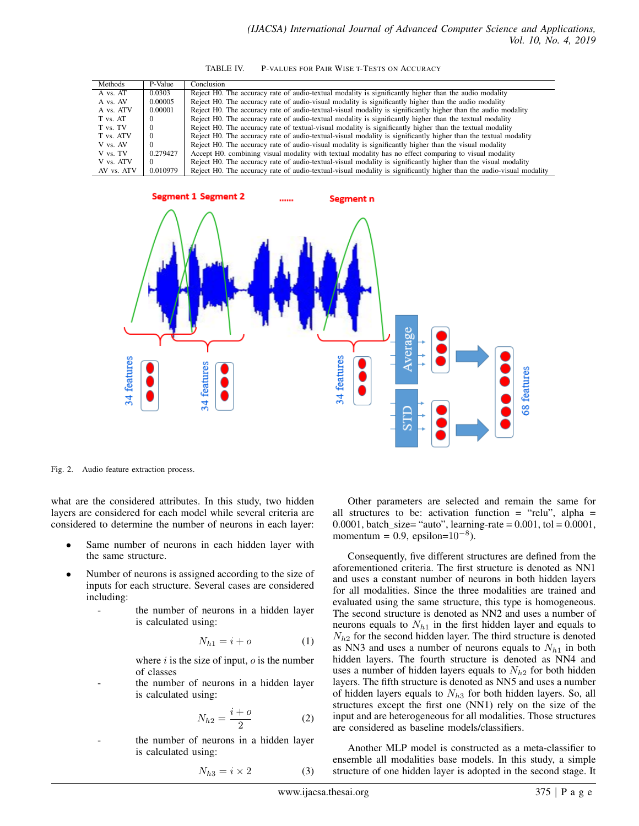| Methods    | P-Value  | Conclusion                                                                                                           |
|------------|----------|----------------------------------------------------------------------------------------------------------------------|
| A vs. AT   | 0.0303   | Reject H0. The accuracy rate of audio-textual modality is significantly higher than the audio modality               |
| A vs. AV   | 0.00005  | Reject H0. The accuracy rate of audio-visual modality is significantly higher than the audio modality                |
| A vs. ATV  | 0.00001  | Reject H0. The accuracy rate of audio-textual-visual modality is significantly higher than the audio modality        |
| T vs. AT   |          | Reject H0. The accuracy rate of audio-textual modality is significantly higher than the textual modality             |
| T vs. TV   |          | Reject H0. The accuracy rate of textual-visual modality is significantly higher than the textual modality            |
| T vs. ATV  | $\Omega$ | Reject H0. The accuracy rate of audio-textual-visual modality is significantly higher than the textual modality      |
| V vs. AV   | $\Omega$ | Reject H0. The accuracy rate of audio-visual modality is significantly higher than the visual modality               |
| V vs. TV   | 0.279427 | Accept H0, combining visual modality with textual modality has no effect comparing to visual modality                |
| V vs. ATV  | $\theta$ | Reject H0. The accuracy rate of audio-textual-visual modality is significantly higher than the visual modality       |
| AV vs. ATV | 0.010979 | Reject H0. The accuracy rate of audio-textual-visual modality is significantly higher than the audio-visual modality |



Fig. 2. Audio feature extraction process.

what are the considered attributes. In this study, two hidden layers are considered for each model while several criteria are considered to determine the number of neurons in each layer:

- Same number of neurons in each hidden layer with the same structure.
- Number of neurons is assigned according to the size of inputs for each structure. Several cases are considered including:
	- the number of neurons in a hidden layer is calculated using:

$$
N_{h1} = i + o \tag{1}
$$

where  $i$  is the size of input,  $o$  is the number of classes

the number of neurons in a hidden layer is calculated using:

$$
N_{h2} = \frac{i+o}{2} \tag{2}
$$

the number of neurons in a hidden layer is calculated using:

$$
N_{h3} = i \times 2 \tag{3}
$$

Other parameters are selected and remain the same for all structures to be: activation function = "relu", alpha = 0.0001, batch\_size= "auto", learning-rate =  $0.001$ , tol =  $0.0001$ , momentum = 0.9, epsilon= $10^{-8}$ ).

Consequently, five different structures are defined from the aforementioned criteria. The first structure is denoted as NN1 and uses a constant number of neurons in both hidden layers for all modalities. Since the three modalities are trained and evaluated using the same structure, this type is homogeneous. The second structure is denoted as NN2 and uses a number of neurons equals to  $N_{h1}$  in the first hidden layer and equals to  $N_{h2}$  for the second hidden layer. The third structure is denoted as NN3 and uses a number of neurons equals to  $N_{h1}$  in both hidden layers. The fourth structure is denoted as NN4 and uses a number of hidden layers equals to  $N_{h2}$  for both hidden layers. The fifth structure is denoted as NN5 and uses a number of hidden layers equals to  $N_{h3}$  for both hidden layers. So, all structures except the first one (NN1) rely on the size of the input and are heterogeneous for all modalities. Those structures are considered as baseline models/classifiers.

Another MLP model is constructed as a meta-classifier to ensemble all modalities base models. In this study, a simple structure of one hidden layer is adopted in the second stage. It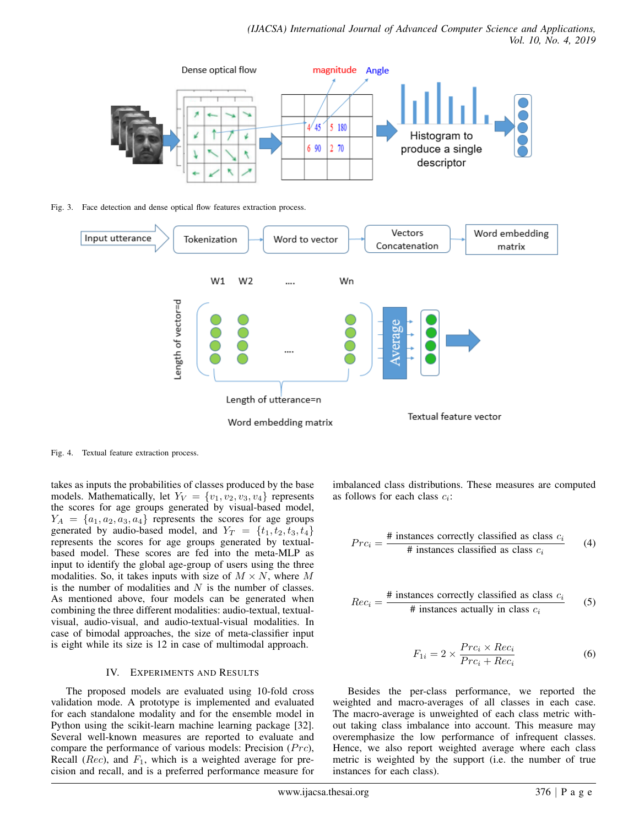

Fig. 3. Face detection and dense optical flow features extraction process.



Fig. 4. Textual feature extraction process.

takes as inputs the probabilities of classes produced by the base models. Mathematically, let  $Y_V = \{v_1, v_2, v_3, v_4\}$  represents the scores for age groups generated by visual-based model,  $Y_A = \{a_1, a_2, a_3, a_4\}$  represents the scores for age groups generated by audio-based model, and  $Y_T = \{t_1, t_2, t_3, t_4\}$ represents the scores for age groups generated by textualbased model. These scores are fed into the meta-MLP as input to identify the global age-group of users using the three modalities. So, it takes inputs with size of  $M \times N$ , where M is the number of modalities and  $N$  is the number of classes. As mentioned above, four models can be generated when combining the three different modalities: audio-textual, textualvisual, audio-visual, and audio-textual-visual modalities. In case of bimodal approaches, the size of meta-classifier input is eight while its size is 12 in case of multimodal approach.

# IV. EXPERIMENTS AND RESULTS

The proposed models are evaluated using 10-fold cross validation mode. A prototype is implemented and evaluated for each standalone modality and for the ensemble model in Python using the scikit-learn machine learning package [32]. Several well-known measures are reported to evaluate and compare the performance of various models: Precision  $(Pro)$ , Recall (*Rec*), and  $F_1$ , which is a weighted average for precision and recall, and is a preferred performance measure for imbalanced class distributions. These measures are computed as follows for each class  $c_i$ :

$$
Pro_i = \frac{\# \text{ instances correctly classified as class } c_i}{\# \text{ instances classified as class } c_i}
$$
 (4)

$$
Rec_i = \frac{\# \text{ instances correctly classified as class } c_i}{\# \text{ instances actually in class } c_i}
$$
 (5)

$$
F_{1i} = 2 \times \frac{Pro_i \times Rec_i}{Pro_i + Rec_i}
$$
 (6)

Besides the per-class performance, we reported the weighted and macro-averages of all classes in each case. The macro-average is unweighted of each class metric without taking class imbalance into account. This measure may overemphasize the low performance of infrequent classes. Hence, we also report weighted average where each class metric is weighted by the support (i.e. the number of true instances for each class).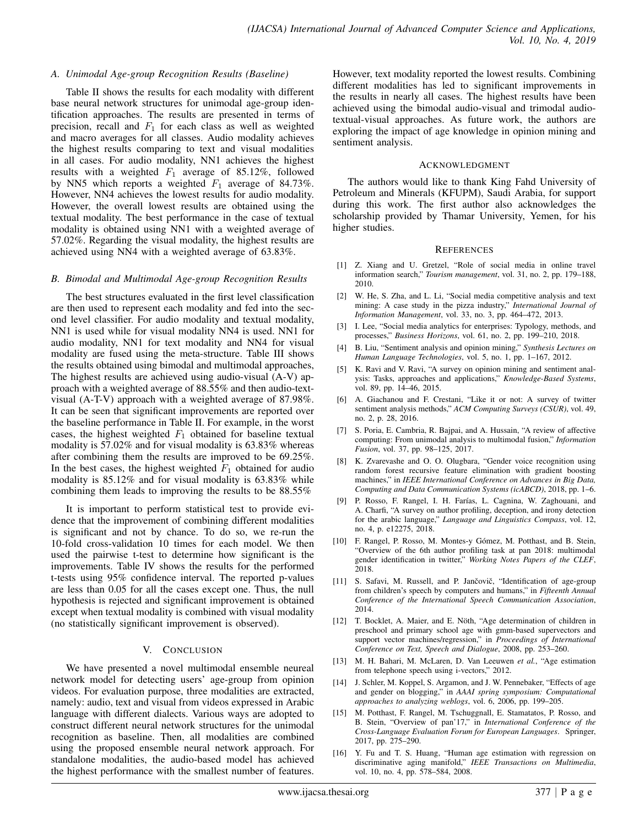### *A. Unimodal Age-group Recognition Results (Baseline)*

Table II shows the results for each modality with different base neural network structures for unimodal age-group identification approaches. The results are presented in terms of precision, recall and  $F_1$  for each class as well as weighted and macro averages for all classes. Audio modality achieves the highest results comparing to text and visual modalities in all cases. For audio modality, NN1 achieves the highest results with a weighted  $F_1$  average of 85.12%, followed by NN5 which reports a weighted  $F_1$  average of 84.73%. However, NN4 achieves the lowest results for audio modality. However, the overall lowest results are obtained using the textual modality. The best performance in the case of textual modality is obtained using NN1 with a weighted average of 57.02%. Regarding the visual modality, the highest results are achieved using NN4 with a weighted average of 63.83%.

### *B. Bimodal and Multimodal Age-group Recognition Results*

The best structures evaluated in the first level classification are then used to represent each modality and fed into the second level classifier. For audio modality and textual modality, NN1 is used while for visual modality NN4 is used. NN1 for audio modality, NN1 for text modality and NN4 for visual modality are fused using the meta-structure. Table III shows the results obtained using bimodal and multimodal approaches, The highest results are achieved using audio-visual (A-V) approach with a weighted average of 88.55% and then audio-textvisual (A-T-V) approach with a weighted average of 87.98%. It can be seen that significant improvements are reported over the baseline performance in Table II. For example, in the worst cases, the highest weighted  $F_1$  obtained for baseline textual modality is 57.02% and for visual modality is 63.83% whereas after combining them the results are improved to be 69.25%. In the best cases, the highest weighted  $F_1$  obtained for audio modality is 85.12% and for visual modality is 63.83% while combining them leads to improving the results to be 88.55%

It is important to perform statistical test to provide evidence that the improvement of combining different modalities is significant and not by chance. To do so, we re-run the 10-fold cross-validation 10 times for each model. We then used the pairwise t-test to determine how significant is the improvements. Table IV shows the results for the performed t-tests using 95% confidence interval. The reported p-values are less than 0.05 for all the cases except one. Thus, the null hypothesis is rejected and significant improvement is obtained except when textual modality is combined with visual modality (no statistically significant improvement is observed).

### V. CONCLUSION

We have presented a novel multimodal ensemble neureal network model for detecting users' age-group from opinion videos. For evaluation purpose, three modalities are extracted, namely: audio, text and visual from videos expressed in Arabic language with different dialects. Various ways are adopted to construct different neural network structures for the unimodal recognition as baseline. Then, all modalities are combined using the proposed ensemble neural network approach. For standalone modalities, the audio-based model has achieved the highest performance with the smallest number of features.

However, text modality reported the lowest results. Combining different modalities has led to significant improvements in the results in nearly all cases. The highest results have been achieved using the bimodal audio-visual and trimodal audiotextual-visual approaches. As future work, the authors are exploring the impact of age knowledge in opinion mining and sentiment analysis.

#### ACKNOWLEDGMENT

The authors would like to thank King Fahd University of Petroleum and Minerals (KFUPM), Saudi Arabia, for support during this work. The first author also acknowledges the scholarship provided by Thamar University, Yemen, for his higher studies.

#### **REFERENCES**

- [1] Z. Xiang and U. Gretzel, "Role of social media in online travel information search," *Tourism management*, vol. 31, no. 2, pp. 179–188, 2010.
- [2] W. He, S. Zha, and L. Li, "Social media competitive analysis and text mining: A case study in the pizza industry," *International Journal of Information Management*, vol. 33, no. 3, pp. 464–472, 2013.
- [3] I. Lee, "Social media analytics for enterprises: Typology, methods, and processes," *Business Horizons*, vol. 61, no. 2, pp. 199–210, 2018.
- [4] B. Liu, "Sentiment analysis and opinion mining," *Synthesis Lectures on Human Language Technologies*, vol. 5, no. 1, pp. 1–167, 2012.
- [5] K. Ravi and V. Ravi, "A survey on opinion mining and sentiment analysis: Tasks, approaches and applications," *Knowledge-Based Systems*, vol. 89, pp. 14–46, 2015.
- [6] A. Giachanou and F. Crestani, "Like it or not: A survey of twitter sentiment analysis methods," *ACM Computing Surveys (CSUR)*, vol. 49, no. 2, p. 28, 2016.
- [7] S. Poria, E. Cambria, R. Bajpai, and A. Hussain, "A review of affective computing: From unimodal analysis to multimodal fusion," *Information Fusion*, vol. 37, pp. 98–125, 2017.
- [8] K. Zvarevashe and O. O. Olugbara, "Gender voice recognition using random forest recursive feature elimination with gradient boosting machines," in *IEEE International Conference on Advances in Big Data, Computing and Data Communication Systems (icABCD)*, 2018, pp. 1–6.
- P. Rosso, F. Rangel, I. H. Farías, L. Cagnina, W. Zaghouani, and A. Charfi, "A survey on author profiling, deception, and irony detection for the arabic language," *Language and Linguistics Compass*, vol. 12, no. 4, p. e12275, 2018.
- [10] F. Rangel, P. Rosso, M. Montes-y Gómez, M. Potthast, and B. Stein, "Overview of the 6th author profiling task at pan 2018: multimodal gender identification in twitter," *Working Notes Papers of the CLEF*, 2018.
- [11] S. Safavi, M. Russell, and P. Jančovič, "Identification of age-group from children's speech by computers and humans," in *Fifteenth Annual Conference of the International Speech Communication Association*, 2014.
- [12] T. Bocklet, A. Maier, and E. Nöth, "Age determination of children in preschool and primary school age with gmm-based supervectors and support vector machines/regression," in *Proceedings of International Conference on Text, Speech and Dialogue*, 2008, pp. 253–260.
- [13] M. H. Bahari, M. McLaren, D. Van Leeuwen *et al.*, "Age estimation from telephone speech using i-vectors," 2012.
- [14] J. Schler, M. Koppel, S. Argamon, and J. W. Pennebaker, "Effects of age and gender on blogging," in *AAAI spring symposium: Computational approaches to analyzing weblogs*, vol. 6, 2006, pp. 199–205.
- [15] M. Potthast, F. Rangel, M. Tschuggnall, E. Stamatatos, P. Rosso, and B. Stein, "Overview of pan'17," in *International Conference of the Cross-Language Evaluation Forum for European Languages*. Springer, 2017, pp. 275–290.
- [16] Y. Fu and T. S. Huang, "Human age estimation with regression on discriminative aging manifold," *IEEE Transactions on Multimedia*, vol. 10, no. 4, pp. 578–584, 2008.